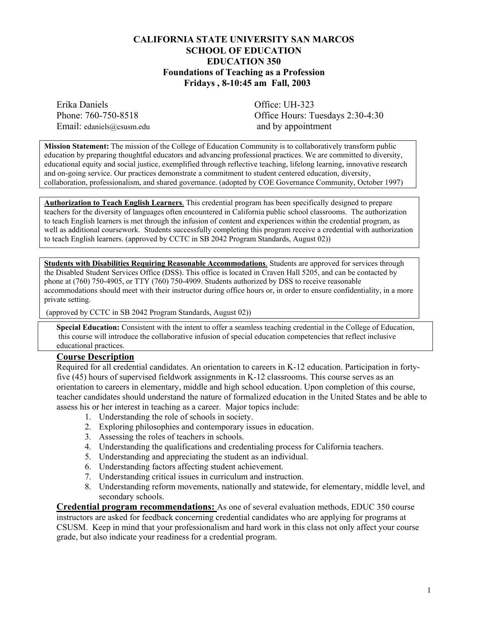### **CALIFORNIA STATE UNIVERSITY SAN MARCOS SCHOOL OF EDUCATION EDUCATION 350 Foundations of Teaching as a Profession Fridays , 8-10:45 am Fall, 2003**

Erika Daniels Office: UH-323 Email: edaniels@csusm.edu and by appointment

Phone: 760-750-8518 Office Hours: Tuesdays 2:30-4:30

**Mission Statement:** The mission of the College of Education Community is to collaboratively transform public education by preparing thoughtful educators and advancing professional practices. We are committed to diversity, educational equity and social justice, exemplified through reflective teaching, lifelong learning, innovative research and on-going service. Our practices demonstrate a commitment to student centered education, diversity, collaboration, professionalism, and shared governance. (adopted by COE Governance Community, October 1997)

**Authorization to Teach English Learners**. This credential program has been specifically designed to prepare teachers for the diversity of languages often encountered in California public school classrooms. The authorization to teach English learners is met through the infusion of content and experiences within the credential program, as well as additional coursework. Students successfully completing this program receive a credential with authorization to teach English learners. (approved by CCTC in SB 2042 Program Standards, August 02))

**Students with Disabilities Requiring Reasonable Accommodations**. Students are approved for services through the Disabled Student Services Office (DSS). This office is located in Craven Hall 5205, and can be contacted by phone at (760) 750-4905, or TTY (760) 750-4909. Students authorized by DSS to receive reasonable accommodations should meet with their instructor during office hours or, in order to ensure confidentiality, in a more private setting.

(approved by CCTC in SB 2042 Program Standards, August 02))

**Special Education:** Consistent with the intent to offer a seamless teaching credential in the College of Education, this course will introduce the collaborative infusion of special education competencies that reflect inclusive educational practices.

#### **Course Description**

Required for all credential candidates. An orientation to careers in K-12 education. Participation in fortyfive (45) hours of supervised fieldwork assignments in K-12 classrooms. This course serves as an orientation to careers in elementary, middle and high school education. Upon completion of this course, teacher candidates should understand the nature of formalized education in the United States and be able to assess his or her interest in teaching as a career. Major topics include:

- 1. Understanding the role of schools in society.
- 2. Exploring philosophies and contemporary issues in education.
- 3. Assessing the roles of teachers in schools.
- 4. Understanding the qualifications and credentialing process for California teachers.
- 5. Understanding and appreciating the student as an individual.
- 6. Understanding factors affecting student achievement.
- 7. Understanding critical issues in curriculum and instruction.
- 8. Understanding reform movements, nationally and statewide, for elementary, middle level, and secondary schools.

**Credential program recommendations:** As one of several evaluation methods, EDUC 350 course instructors are asked for feedback concerning credential candidates who are applying for programs at CSUSM. Keep in mind that your professionalism and hard work in this class not only affect your course grade, but also indicate your readiness for a credential program.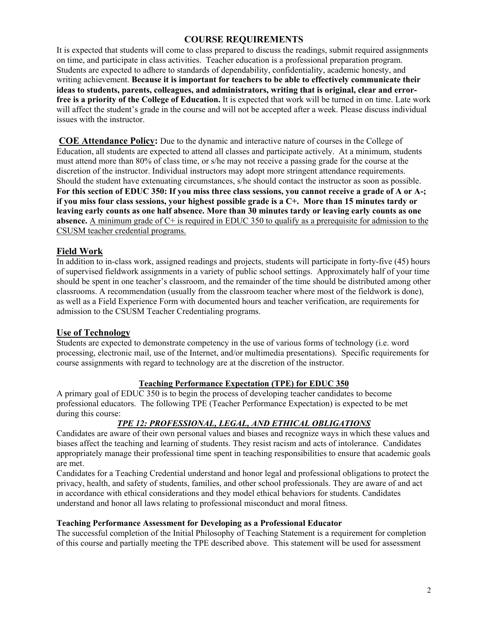## **COURSE REQUIREMENTS**

It is expected that students will come to class prepared to discuss the readings, submit required assignments on time, and participate in class activities. Teacher education is a professional preparation program. Students are expected to adhere to standards of dependability, confidentiality, academic honesty, and writing achievement. **Because it is important for teachers to be able to effectively communicate their ideas to students, parents, colleagues, and administrators, writing that is original, clear and errorfree is a priority of the College of Education.** It is expected that work will be turned in on time. Late work will affect the student's grade in the course and will not be accepted after a week. Please discuss individual issues with the instructor.

**COE Attendance Policy:** Due to the dynamic and interactive nature of courses in the College of Education, all students are expected to attend all classes and participate actively. At a minimum, students must attend more than 80% of class time, or s/he may not receive a passing grade for the course at the discretion of the instructor. Individual instructors may adopt more stringent attendance requirements. Should the student have extenuating circumstances, s/he should contact the instructor as soon as possible. **For this section of EDUC 350: If you miss three class sessions, you cannot receive a grade of A or A-; if you miss four class sessions, your highest possible grade is a C+. More than 15 minutes tardy or leaving early counts as one half absence. More than 30 minutes tardy or leaving early counts as one absence.** A minimum grade of C+ is required in EDUC 350 to qualify as a prerequisite for admission to the CSUSM teacher credential programs.

## **Field Work**

In addition to in-class work, assigned readings and projects, students will participate in forty-five (45) hours of supervised fieldwork assignments in a variety of public school settings. Approximately half of your time should be spent in one teacher's classroom, and the remainder of the time should be distributed among other classrooms. A recommendation (usually from the classroom teacher where most of the fieldwork is done), as well as a Field Experience Form with documented hours and teacher verification, are requirements for admission to the CSUSM Teacher Credentialing programs.

### **Use of Technology**

Students are expected to demonstrate competency in the use of various forms of technology (i.e. word processing, electronic mail, use of the Internet, and/or multimedia presentations). Specific requirements for course assignments with regard to technology are at the discretion of the instructor.

### **Teaching Performance Expectation (TPE) for EDUC 350**

A primary goal of EDUC 350 is to begin the process of developing teacher candidates to become professional educators. The following TPE (Teacher Performance Expectation) is expected to be met during this course:

## *TPE 12: PROFESSIONAL, LEGAL, AND ETHICAL OBLIGATIONS*

Candidates are aware of their own personal values and biases and recognize ways in which these values and biases affect the teaching and learning of students. They resist racism and acts of intolerance. Candidates appropriately manage their professional time spent in teaching responsibilities to ensure that academic goals are met.

Candidates for a Teaching Credential understand and honor legal and professional obligations to protect the privacy, health, and safety of students, families, and other school professionals. They are aware of and act in accordance with ethical considerations and they model ethical behaviors for students. Candidates understand and honor all laws relating to professional misconduct and moral fitness.

#### **Teaching Performance Assessment for Developing as a Professional Educator**

The successful completion of the Initial Philosophy of Teaching Statement is a requirement for completion of this course and partially meeting the TPE described above. This statement will be used for assessment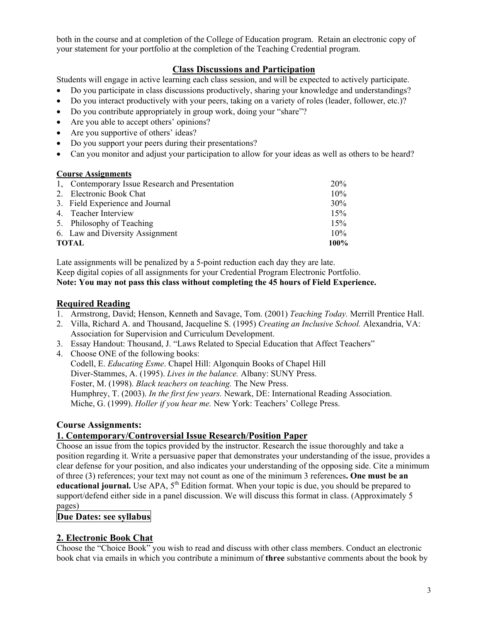both in the course and at completion of the College of Education program. Retain an electronic copy of your statement for your portfolio at the completion of the Teaching Credential program.

## **Class Discussions and Participation**

Students will engage in active learning each class session, and will be expected to actively participate.

- Do you participate in class discussions productively, sharing your knowledge and understandings?
- Do you interact productively with your peers, taking on a variety of roles (leader, follower, etc.)?
- Do you contribute appropriately in group work, doing your "share"?
- Are you able to accept others' opinions?
- Are you supportive of others' ideas?
- Do you support your peers during their presentations?
- Can you monitor and adjust your participation to allow for your ideas as well as others to be heard?

#### **Course Assignments**

|       | 1. Contemporary Issue Research and Presentation | <b>20%</b> |
|-------|-------------------------------------------------|------------|
|       | 2. Electronic Book Chat                         | 10%        |
|       | 3. Field Experience and Journal                 | 30%        |
|       | 4. Teacher Interview                            | 15%        |
|       | 5. Philosophy of Teaching                       | 15%        |
|       | 6. Law and Diversity Assignment                 | 10%        |
| TOTAL |                                                 | $100\%$    |

Late assignments will be penalized by a 5-point reduction each day they are late. Keep digital copies of all assignments for your Credential Program Electronic Portfolio. **Note: You may not pass this class without completing the 45 hours of Field Experience.** 

## **Required Reading**

- 1. Armstrong, David; Henson, Kenneth and Savage, Tom. (2001) *Teaching Today.* Merrill Prentice Hall.
- 2. Villa, Richard A. and Thousand, Jacqueline S. (1995) *Creating an Inclusive School.* Alexandria, VA: Association for Supervision and Curriculum Development.
- 3. Essay Handout: Thousand, J. "Laws Related to Special Education that Affect Teachers"
- 4. Choose ONE of the following books: Codell, E. *Educating Esme*. Chapel Hill: Algonquin Books of Chapel Hill Diver-Stammes, A. (1995). *Lives in the balance.* Albany: SUNY Press. Foster, M. (1998). *Black teachers on teaching.* The New Press. Humphrey, T. (2003). *In the first few years.* Newark, DE: International Reading Association. Miche, G. (1999). *Holler if you hear me.* New York: Teachers' College Press.

## **Course Assignments:**

## **1. Contemporary/Controversial Issue Research/Position Paper**

Choose an issue from the topics provided by the instructor. Research the issue thoroughly and take a position regarding it. Write a persuasive paper that demonstrates your understanding of the issue, provides a clear defense for your position, and also indicates your understanding of the opposing side. Cite a minimum of three (3) references; your text may not count as one of the minimum 3 references**. One must be an educational journal.** Use APA, 5<sup>th</sup> Edition format. When your topic is due, you should be prepared to support/defend either side in a panel discussion. We will discuss this format in class. (Approximately 5 pages)

### **Due Dates: see syllabus**

## **2. Electronic Book Chat**

Choose the "Choice Book" you wish to read and discuss with other class members. Conduct an electronic book chat via emails in which you contribute a minimum of **three** substantive comments about the book by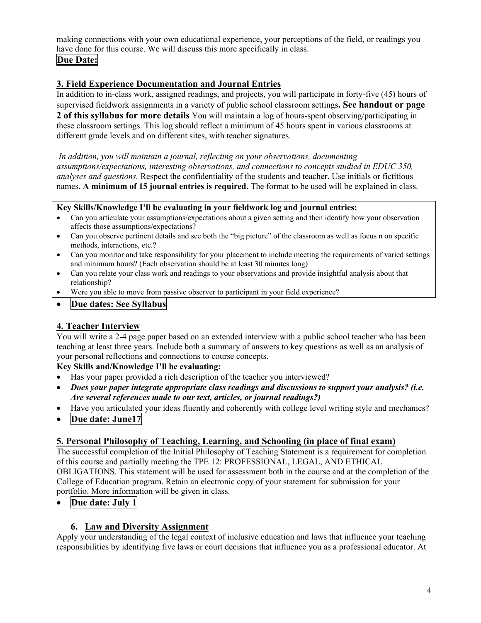making connections with your own educational experience, your perceptions of the field, or readings you have done for this course. We will discuss this more specifically in class.

# **Due Date:**

# **3. Field Experience Documentation and Journal Entries**

In addition to in-class work, assigned readings, and projects, you will participate in forty-five (45) hours of supervised fieldwork assignments in a variety of public school classroom settings**. See handout or page 2 of this syllabus for more details** You will maintain a log of hours-spent observing/participating in these classroom settings. This log should reflect a minimum of 45 hours spent in various classrooms at different grade levels and on different sites, with teacher signatures.

*In addition, you will maintain a journal, reflecting on your observations, documenting assumptions/expectations, interesting observations, and connections to concepts studied in EDUC 350, analyses and questions.* Respect the confidentiality of the students and teacher. Use initials or fictitious names. **A minimum of 15 journal entries is required.** The format to be used will be explained in class.

### **Key Skills/Knowledge I'll be evaluating in your fieldwork log and journal entries:**

- Can you articulate your assumptions/expectations about a given setting and then identify how your observation affects those assumptions/expectations?
- Can you observe pertinent details and see both the "big picture" of the classroom as well as focus n on specific methods, interactions, etc.?
- Can you monitor and take responsibility for your placement to include meeting the requirements of varied settings and minimum hours? (Each observation should be at least 30 minutes long)
- Can you relate your class work and readings to your observations and provide insightful analysis about that relationship?
- Were you able to move from passive observer to participant in your field experience?

## • **Due dates: See Syllabus**

# **4. Teacher Interview**

You will write a 2-4 page paper based on an extended interview with a public school teacher who has been teaching at least three years. Include both a summary of answers to key questions as well as an analysis of your personal reflections and connections to course concepts.

## **Key Skills and/Knowledge I'll be evaluating:**

- Has your paper provided a rich description of the teacher you interviewed?
- *Does your paper integrate appropriate class readings and discussions to support your analysis? (i.e. Are several references made to our text, articles, or journal readings?)*
- Have you articulated your ideas fluently and coherently with college level writing style and mechanics?
- **Due date: June17**

## **5. Personal Philosophy of Teaching, Learning, and Schooling (in place of final exam)**

The successful completion of the Initial Philosophy of Teaching Statement is a requirement for completion of this course and partially meeting the TPE 12: PROFESSIONAL, LEGAL, AND ETHICAL OBLIGATIONS. This statement will be used for assessment both in the course and at the completion of the College of Education program. Retain an electronic copy of your statement for submission for your portfolio. More information will be given in class.

## • **Due date: July 1**

## **6. Law and Diversity Assignment**

Apply your understanding of the legal context of inclusive education and laws that influence your teaching responsibilities by identifying five laws or court decisions that influence you as a professional educator. At